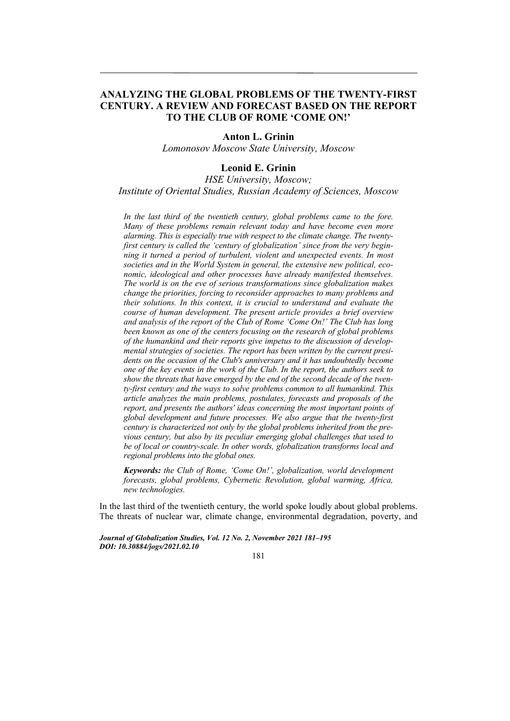# **ANALYZING THE GLOBAL PROBLEMS OF THE TWENTY-FIRST CENTURY. A REVIEW AND FORECAST BASED ON THE REPORT TO THE CLUB OF ROME 'COME ON!'**

## **Anton L. Grinin**

*Lomonosov Moscow State University, Moscow* 

# **Leonid E. Grinin**

*HSE University, Moscow; Institute of Oriental Studies, Russian Academy of Sciences, Moscow* 

*In the last third of the twentieth century, global problems came to the fore. Many of these problems remain relevant today and have become even more alarming. This is especially true with respect to the climate change. The twentyfirst century is called the 'century of globalization' since from the very beginning it turned a period of turbulent, violent and unexpected events. In most societies and in the World System in general, the extensive new political, economic, ideological and other processes have already manifested themselves. The world is on the eve of serious transformations since globalization makes change the priorities, forcing to reconsider approaches to many problems and their solutions. In this context, it is crucial to understand and evaluate the course of human development. The present article provides a brief overview and analysis of the report of the Club of Rome 'Come On!' The Club has long been known as one of the centers focusing on the research of global problems of the humankind and their reports give impetus to the discussion of developmental strategies of societies. The report has been written by the current presidents on the occasion of the Club's anniversary and it has undoubtedly become one of the key events in the work of the Club. In the report, the authors seek to show the threats that have emerged by the end of the second decade of the twenty-first century and the ways to solve problems common to all humankind. This article analyzes the main problems, postulates, forecasts and proposals of the report, and presents the authors' ideas concerning the most important points of global development and future processes. We also argue that the twenty-first century is characterized not only by the global problems inherited from the previous century, but also by its peculiar emerging global challenges that used to be of local or country-scale. In other words, globalization transforms local and regional problems into the global ones.* 

*Keywords: the Club of Rome, 'Come On!', globalization, world development forecasts, global problems, Cybernetic Revolution, global warming, Africa, new technologies.* 

In the last third of the twentieth century, the world spoke loudly about global problems. The threats of nuclear war, climate change, environmental degradation, poverty, and

*Journal of Globalization Studies, Vol. 12 No. 2, November 2021 181–195 DOI: 10.30884/jogs/2021.02.10* 

181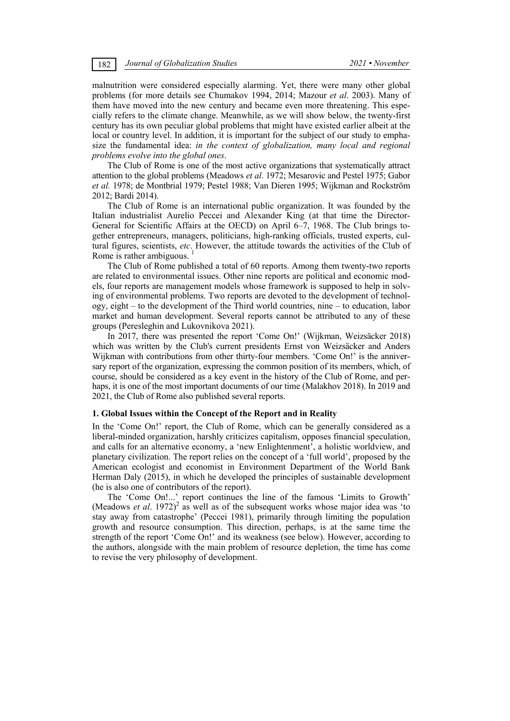malnutrition were considered especially alarming. Yet, there were many other global problems (for more details see Chumakov 1994, 2014; Mazour *et al*. 2003). Many of them have moved into the new century and became even more threatening. This especially refers to the climate change. Meanwhile, as we will show below, the twenty-first century has its own peculiar global problems that might have existed earlier albeit at the local or country level. In addition, it is important for the subject of our study to emphasize the fundamental idea: *in the context of globalization, many local and regional problems evolve into the global ones*.

The Club of Rome is one of the most active organizations that systematically attract attention to the global problems (Meadows *et al*. 1972; Mesarovic and Pestel 1975; Gabor *et al.* 1978; de Montbrial 1979; Pestel 1988; Van Dieren 1995; Wijkman and Rockström 2012; Bardi 2014).

The Club of Rome is an international public organization. It was founded by the Italian industrialist Aurelio Peccei and Alexander King (at that time the Director-General for Scientific Affairs at the OECD) on April 6–7, 1968. The Club brings together entrepreneurs, managers, politicians, high-ranking officials, trusted experts, cultural figures, scientists, *etc*. However, the attitude towards the activities of the Club of Rome is rather ambiguous.

The Club of Rome published a total of 60 reports. Among them twenty-two reports are related to environmental issues. Other nine reports are political and economic models, four reports are management models whose framework is supposed to help in solving of environmental problems. Two reports are devoted to the development of technology, eight – to the development of the Third world countries, nine – to education, labor market and human development. Several reports cannot be attributed to any of these groups (Peresleghin and Lukovnikova 2021).

In 2017, there was presented the report 'Come On!' (Wijkman, Weizsäcker 2018) which was written by the Club's current presidents Ernst von Weizsäcker and Anders Wijkman with contributions from other thirty-four members. 'Come On!' is the anniversary report of the organization, expressing the common position of its members, which, of course, should be considered as a key event in the history of the Club of Rome, and perhaps, it is one of the most important documents of our time (Malakhov 2018). In 2019 and 2021, the Club of Rome also published several reports.

### **1. Global Issues within the Concept of the Report and in Reality**

In the 'Come On!' report, the Club of Rome, which can be generally considered as a liberal-minded organization, harshly criticizes capitalism, opposes financial speculation, and calls for an alternative economy, a 'new Enlightenment', a holistic worldview, and planetary civilization. The report relies on the concept of a 'full world', proposed by the American ecologist and economist in Environment Department of the World Bank Herman Daly (2015), in which he developed the principles of sustainable development (he is also one of contributors of the report).

The 'Come On!...' report continues the line of the famous 'Limits to Growth' (Meadows *et al.* 1972)<sup>2</sup> as well as of the subsequent works whose major idea was 'to stay away from catastrophe' (Peccei 1981), primarily through limiting the population growth and resource consumption. This direction, perhaps, is at the same time the strength of the report 'Come On!' and its weakness (see below). However, according to the authors, alongside with the main problem of resource depletion, the time has come to revise the very philosophy of development.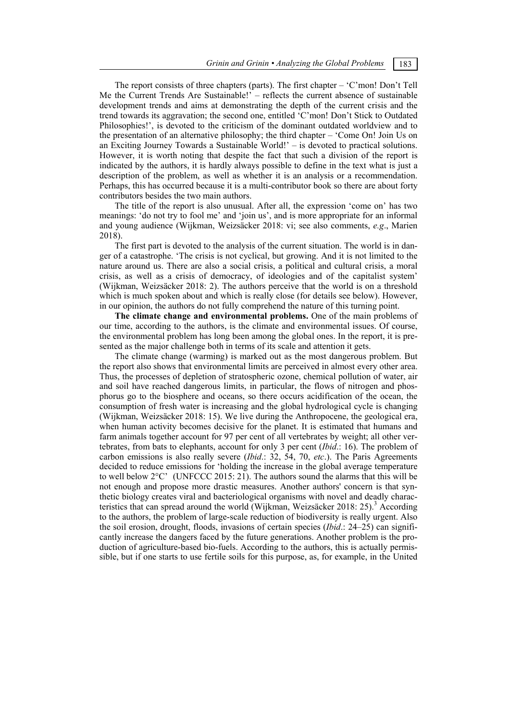The report consists of three chapters (parts). The first chapter – 'C'mon! Don't Tell Me the Current Trends Are Sustainable!' – reflects the current absence of sustainable development trends and aims at demonstrating the depth of the current crisis and the trend towards its aggravation; the second one, entitled 'C'mon! Don't Stick to Outdated Philosophies!', is devoted to the criticism of the dominant outdated worldview and to the presentation of an alternative philosophy; the third chapter – 'Come On! Join Us on an Exciting Journey Towards a Sustainable World!' – is devoted to practical solutions. However, it is worth noting that despite the fact that such a division of the report is indicated by the authors, it is hardly always possible to define in the text what is just a description of the problem, as well as whether it is an analysis or a recommendation. Perhaps, this has occurred because it is a multi-contributor book so there are about forty contributors besides the two main authors.

The title of the report is also unusual. After all, the expression 'come on' has two meanings: 'do not try to fool me' and 'join us', and is more appropriate for an informal and young audience (Wijkman, Weizsäcker 2018: vi; see also comments, *e.g*., Marien 2018).

The first part is devoted to the analysis of the current situation. The world is in danger of a catastrophe. 'The crisis is not cyclical, but growing. And it is not limited to the nature around us. There are also a social crisis, a political and cultural crisis, a moral crisis, as well as a crisis of democracy, of ideologies and of the capitalist system' (Wijkman, Weizsäcker 2018: 2). The authors perceive that the world is on a threshold which is much spoken about and which is really close (for details see below). However, in our opinion, the authors do not fully comprehend the nature of this turning point.

**The climate change and environmental problems.** One of the main problems of our time, according to the authors, is the climate and environmental issues. Of course, the environmental problem has long been among the global ones. In the report, it is presented as the major challenge both in terms of its scale and attention it gets.

The climate change (warming) is marked out as the most dangerous problem. But the report also shows that environmental limits are perceived in almost every other area. Thus, the processes of depletion of stratospheric ozone, chemical pollution of water, air and soil have reached dangerous limits, in particular, the flows of nitrogen and phosphorus go to the biosphere and oceans, so there occurs acidification of the ocean, the consumption of fresh water is increasing and the global hydrological cycle is changing (Wijkman, Weizsäcker 2018: 15). We live during the Anthropocene, the geological era, when human activity becomes decisive for the planet. It is estimated that humans and farm animals together account for 97 per cent of all vertebrates by weight; all other vertebrates, from bats to elephants, account for only 3 per cent (*Ibid*.: 16). The problem of carbon emissions is also really severe (*Ibid*.: 32, 54, 70, *etc*.). The Paris Agreements decided to reduce emissions for 'holding the increase in the global average temperature to well below 2°C' (UNFCCC 2015: 21). The authors sound the alarms that this will be not enough and propose more drastic measures. Another authors' concern is that synthetic biology creates viral and bacteriological organisms with novel and deadly characteristics that can spread around the world (Wijkman, Weizsäcker 2018: 25).<sup>3</sup> According to the authors, the problem of large-scale reduction of biodiversity is really urgent. Also the soil erosion, drought, floods, invasions of certain species (*Ibid*.: 24–25) can significantly increase the dangers faced by the future generations. Another problem is the production of agriculture-based bio-fuels. According to the authors, this is actually permissible, but if one starts to use fertile soils for this purpose, as, for example, in the United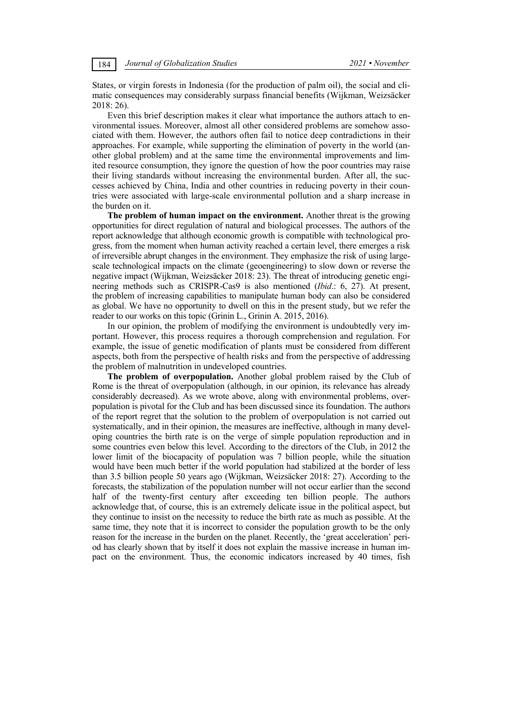States, or virgin forests in Indonesia (for the production of palm oil), the social and climatic consequences may considerably surpass financial benefits (Wijkman, Weizsäcker 2018: 26).

Even this brief description makes it clear what importance the authors attach to environmental issues. Moreover, almost all other considered problems are somehow associated with them. However, the authors often fail to notice deep contradictions in their approaches. For example, while supporting the elimination of poverty in the world (another global problem) and at the same time the environmental improvements and limited resource consumption, they ignore the question of how the poor countries may raise their living standards without increasing the environmental burden. After all, the successes achieved by China, India and other countries in reducing poverty in their countries were associated with large-scale environmental pollution and a sharp increase in the burden on it.

**The problem of human impact on the environment.** Another threat is the growing opportunities for direct regulation of natural and biological processes. The authors of the report acknowledge that although economic growth is compatible with technological progress, from the moment when human activity reached a certain level, there emerges a risk of irreversible abrupt changes in the environment. They emphasize the risk of using largescale technological impacts on the climate (geoengineering) to slow down or reverse the negative impact (Wijkman, Weizsäcker 2018: 23). The threat of introducing genetic engineering methods such as CRISPR-Cas9 is also mentioned (*Ibid*.: 6, 27). At present, the problem of increasing capabilities to manipulate human body can also be considered as global. We have no opportunity to dwell on this in the present study, but we refer the reader to our works on this topic (Grinin L., Grinin A. 2015, 2016).

In our opinion, the problem of modifying the environment is undoubtedly very important. However, this process requires a thorough comprehension and regulation. For example, the issue of genetic modification of plants must be considered from different aspects, both from the perspective of health risks and from the perspective of addressing the problem of malnutrition in undeveloped countries.

**The problem of overpopulation.** Another global problem raised by the Club of Rome is the threat of overpopulation (although, in our opinion, its relevance has already considerably decreased). As we wrote above, along with environmental problems, overpopulation is pivotal for the Club and has been discussed since its foundation. The authors of the report regret that the solution to the problem of overpopulation is not carried out systematically, and in their opinion, the measures are ineffective, although in many developing countries the birth rate is on the verge of simple population reproduction and in some countries even below this level. According to the directors of the Club, in 2012 the lower limit of the biocapacity of population was 7 billion people, while the situation would have been much better if the world population had stabilized at the border of less than 3.5 billion people 50 years ago (Wijkman, Weizsäcker 2018: 27). According to the forecasts, the stabilization of the population number will not occur earlier than the second half of the twenty-first century after exceeding ten billion people. The authors acknowledge that, of course, this is an extremely delicate issue in the political aspect, but they continue to insist on the necessity to reduce the birth rate as much as possible. At the same time, they note that it is incorrect to consider the population growth to be the only reason for the increase in the burden on the planet. Recently, the 'great acceleration' period has clearly shown that by itself it does not explain the massive increase in human impact on the environment. Thus, the economic indicators increased by 40 times, fish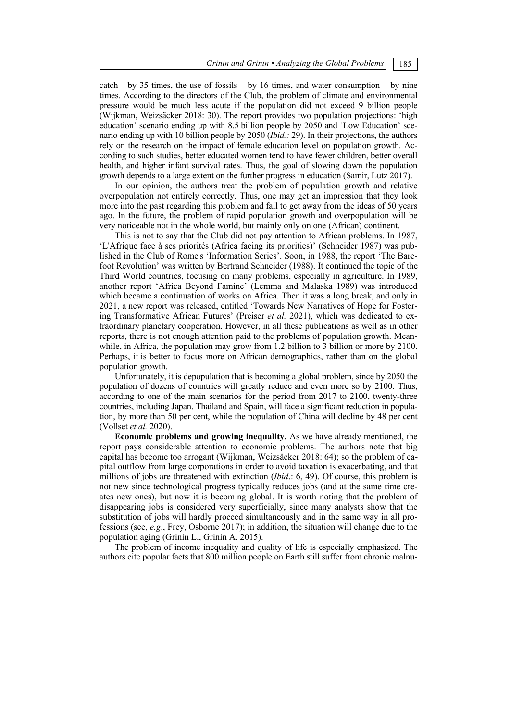$\text{catch} - \text{by } 35 \text{ times}$ , the use of fossils – by 16 times, and water consumption – by nine times. According to the directors of the Club, the problem of climate and environmental pressure would be much less acute if the population did not exceed 9 billion people (Wijkman, Weizsäcker 2018: 30). The report provides two population projections: 'high education' scenario ending up with 8.5 billion people by 2050 and 'Low Education' scenario ending up with 10 billion people by 2050 (*Ibid.:* 29). In their projections, the authors rely on the research on the impact of female education level on population growth. According to such studies, better educated women tend to have fewer children, better overall health, and higher infant survival rates. Thus, the goal of slowing down the population growth depends to a large extent on the further progress in education (Samir, Lutz 2017).

In our opinion, the authors treat the problem of population growth and relative overpopulation not entirely correctly. Thus, one may get an impression that they look more into the past regarding this problem and fail to get away from the ideas of 50 years ago. In the future, the problem of rapid population growth and overpopulation will be very noticeable not in the whole world, but mainly only on one (African) continent.

This is not to say that the Club did not pay attention to African problems. In 1987, 'L'Afrique face à ses priorités (Africa facing its priorities)' (Schneider 1987) was published in the Club of Rome's 'Information Series'. Soon, in 1988, the report 'The Barefoot Revolution' was written by Bertrand Schneider (1988). It continued the topic of the Third World countries, focusing on many problems, especially in agriculture. In 1989, another report 'Africa Beyond Famine' (Lemma and Malaska 1989) was introduced which became a continuation of works on Africa. Then it was a long break, and only in 2021, a new report was released, entitled 'Towards New Narratives of Hope for Fostering Transformative African Futures' (Preiser *еt al.* 2021), which was dedicated to extraordinary planetary cooperation. However, in all these publications as well as in other reports, there is not enough attention paid to the problems of population growth. Meanwhile, in Africa, the population may grow from 1.2 billion to 3 billion or more by 2100. Perhaps, it is better to focus more on African demographics, rather than on the global population growth.

Unfortunately, it is depopulation that is becoming a global problem, since by 2050 the population of dozens of countries will greatly reduce and even more so by 2100. Thus, according to one of the main scenarios for the period from 2017 to 2100, twenty-three countries, including Japan, Thailand and Spain, will face a significant reduction in population, by more than 50 per cent, while the population of China will decline by 48 per cent (Vollset *et al.* 2020).

**Economic problems and growing inequality.** As we have already mentioned, the report pays considerable attention to economic problems. The authors note that big capital has become too arrogant (Wijkman, Weizsäcker 2018: 64); so the problem of capital outflow from large corporations in order to avoid taxation is exacerbating, and that millions of jobs are threatened with extinction (*Ibid*.: 6, 49). Of course, this problem is not new since technological progress typically reduces jobs (and at the same time creates new ones), but now it is becoming global. It is worth noting that the problem of disappearing jobs is considered very superficially, since many analysts show that the substitution of jobs will hardly proceed simultaneously and in the same way in all professions (see, *e.g*., Frey, Osborne 2017); in addition, the situation will change due to the population aging (Grinin L., Grinin A. 2015).

The problem of income inequality and quality of life is especially emphasized. The authors cite popular facts that 800 million people on Earth still suffer from chronic malnu-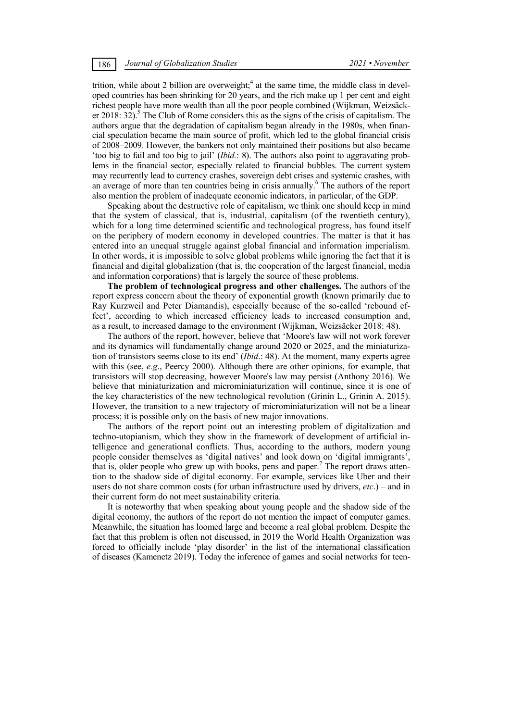trition, while about 2 billion are overweight;<sup>4</sup> at the same time, the middle class in developed countries has been shrinking for 20 years, and the rich make up 1 per cent and eight richest people have more wealth than all the poor people combined (Wijkman, Weizsäcker 2018:  $32$ ).<sup>5</sup> The Club of Rome considers this as the signs of the crisis of capitalism. The authors argue that the degradation of capitalism began already in the 1980s, when financial speculation became the main source of profit, which led to the global financial crisis of 2008–2009. However, the bankers not only maintained their positions but also became 'too big to fail and too big to jail' (*Ibid.*: 8). The authors also point to aggravating problems in the financial sector, especially related to financial bubbles. The current system may recurrently lead to currency crashes, sovereign debt crises and systemic crashes, with an average of more than ten countries being in crisis annually.<sup>6</sup> The authors of the report also mention the problem of inadequate economic indicators, in particular, of the GDP.

Speaking about the destructive role of capitalism, we think one should keep in mind that the system of classical, that is, industrial, capitalism (of the twentieth century), which for a long time determined scientific and technological progress, has found itself on the periphery of modern economy in developed countries. The matter is that it has entered into an unequal struggle against global financial and information imperialism. In other words, it is impossible to solve global problems while ignoring the fact that it is financial and digital globalization (that is, the cooperation of the largest financial, media and information corporations) that is largely the source of these problems.

**The problem of technological progress and other challenges.** The authors of the report express concern about the theory of exponential growth (known primarily due to Ray Kurzweil and Peter Diamandis), especially because of the so-called 'rebound effect', according to which increased efficiency leads to increased consumption and, as a result, to increased damage to the environment (Wijkman, Weizsäcker 2018: 48).

The authors of the report, however, believe that 'Moore's law will not work forever and its dynamics will fundamentally change around 2020 or 2025, and the miniaturization of transistors seems close to its end' (*Ibid*.: 48). At the moment, many experts agree with this (see, *e.g*., Peercy 2000). Although there are other opinions, for example, that transistors will stop decreasing, however Moore's law may persist (Anthony 2016). We believe that miniaturization and microminiaturization will continue, since it is one of the key characteristics of the new technological revolution (Grinin L., Grinin A. 2015). However, the transition to a new trajectory of microminiaturization will not be a linear process; it is possible only on the basis of new major innovations.

The authors of the report point out an interesting problem of digitalization and techno-utopianism, which they show in the framework of development of artificial intelligence and generational conflicts. Thus, according to the authors, modern young people consider themselves as 'digital natives' and look down on 'digital immigrants', that is, older people who grew up with books, pens and paper.<sup>7</sup> The report draws attention to the shadow side of digital economy. For example, services like Uber and their users do not share common costs (for urban infrastructure used by drivers, *etc*.) – and in their current form do not meet sustainability criteria.

It is noteworthy that when speaking about young people and the shadow side of the digital economy, the authors of the report do not mention the impact of computer games. Meanwhile, the situation has loomed large and become a real global problem. Despite the fact that this problem is often not discussed, in 2019 the World Health Organization was forced to officially include 'play disorder' in the list of the international classification of diseases (Kamenetz 2019). Today the inference of games and social networks for teen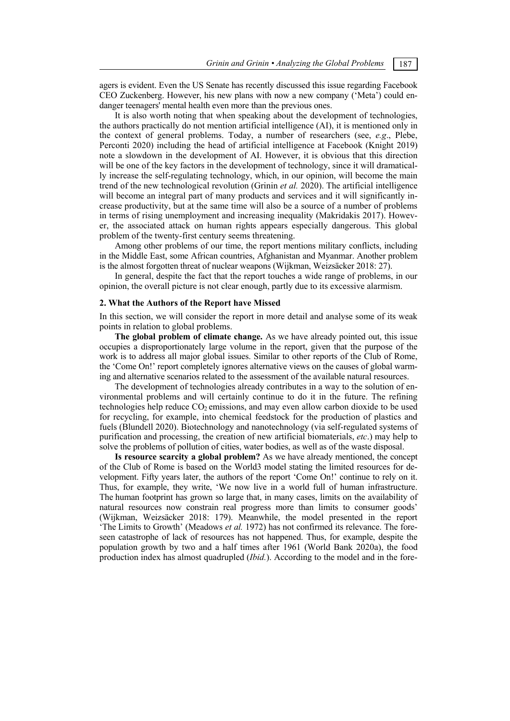agers is evident. Even the US Senate has recently discussed this issue regarding Facebook CEO Zuckenberg. However, his new plans with now a new company ('Meta') could endanger teenagers' mental health even more than the previous ones.

It is also worth noting that when speaking about the development of technologies, the authors practically do not mention artificial intelligence (AI), it is mentioned only in the context of general problems. Today, a number of researchers (see, *e.g*., Plebe, Perconti 2020) including the head of artificial intelligence at Facebook (Knight 2019) note a slowdown in the development of AI. However, it is obvious that this direction will be one of the key factors in the development of technology, since it will dramatically increase the self-regulating technology, which, in our opinion, will become the main trend of the new technological revolution (Grinin *et al.* 2020). The artificial intelligence will become an integral part of many products and services and it will significantly increase productivity, but at the same time will also be a source of a number of problems in terms of rising unemployment and increasing inequality (Makridakis 2017). However, the associated attack on human rights appears especially dangerous. This global problem of the twenty-first century seems threatening.

Among other problems of our time, the report mentions military conflicts, including in the Middle East, some African countries, Afghanistan and Myanmar. Another problem is the almost forgotten threat of nuclear weapons (Wijkman, Weizsäcker 2018: 27).

In general, despite the fact that the report touches a wide range of problems, in our opinion, the overall picture is not clear enough, partly due to its excessive alarmism.

## **2. What the Authors of the Report have Missed**

In this section, we will consider the report in more detail and analyse some of its weak points in relation to global problems.

**The global problem of climate change.** As we have already pointed out, this issue occupies a disproportionately large volume in the report, given that the purpose of the work is to address all major global issues. Similar to other reports of the Club of Rome, the 'Come On!' report completely ignores alternative views on the causes of global warming and alternative scenarios related to the assessment of the available natural resources.

The development of technologies already contributes in a way to the solution of environmental problems and will certainly continue to do it in the future. The refining technologies help reduce  $CO<sub>2</sub>$  emissions, and may even allow carbon dioxide to be used for recycling, for example, into chemical feedstock for the production of plastics and fuels (Blundell 2020). Biotechnology and nanotechnology (via self-regulated systems of purification and processing, the creation of new artificial biomaterials, *etc*.) may help to solve the problems of pollution of cities, water bodies, as well as of the waste disposal.

**Is resource scarcity a global problem?** As we have already mentioned, the concept of the Club of Rome is based on the World3 model stating the limited resources for development. Fifty years later, the authors of the report 'Come On!' continue to rely on it. Thus, for example, they write, 'We now live in a world full of human infrastructure. The human footprint has grown so large that, in many cases, limits on the availability of natural resources now constrain real progress more than limits to consumer goods' (Wijkman, Weizsäcker 2018: 179). Meanwhile, the model presented in the report 'The Limits to Growth' (Meadows *et al.* 1972) has not confirmed its relevance. The foreseen catastrophe of lack of resources has not happened. Thus, for example, despite the population growth by two and a half times after 1961 (World Bank 2020a), the food production index has almost quadrupled (*Ibid.*). According to the model and in the fore-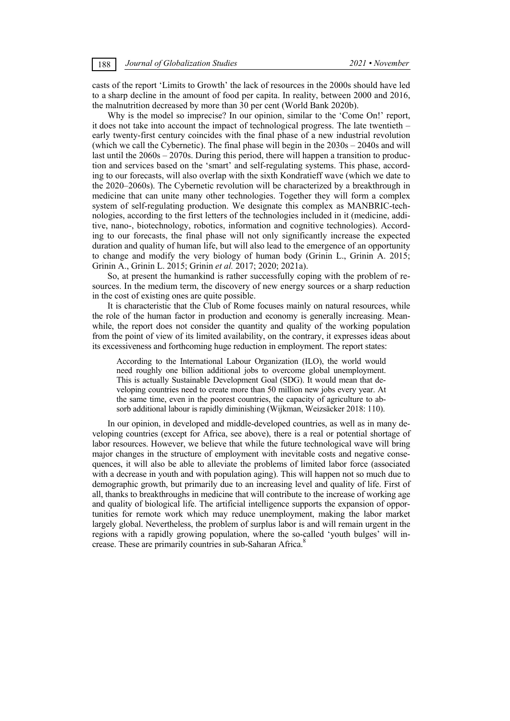casts of the report 'Limits to Growth' the lack of resources in the 2000s should have led to a sharp decline in the amount of food per capita. In reality, between 2000 and 2016, the malnutrition decreased by more than 30 per cent (World Bank 2020b).

Why is the model so imprecise? In our opinion, similar to the 'Come On!' report, it does not take into account the impact of technological progress. The late twentieth – early twenty-first century coincides with the final phase of a new industrial revolution (which we call the Cybernetic). The final phase will begin in the 2030s – 2040s and will last until the 2060s – 2070s. During this period, there will happen a transition to production and services based on the 'smart' and self-regulating systems. This phase, according to our forecasts, will also overlap with the sixth Kondratieff wave (which we date to the 2020–2060s). The Cybernetic revolution will be characterized by a breakthrough in medicine that can unite many other technologies. Together they will form a complex system of self-regulating production. We designate this complex as MANBRIC-technologies, according to the first letters of the technologies included in it (medicine, additive, nano-, biotechnology, robotics, information and cognitive technologies). According to our forecasts, the final phase will not only significantly increase the expected duration and quality of human life, but will also lead to the emergence of an opportunity to change and modify the very biology of human body (Grinin L., Grinin A. 2015; Grinin A., Grinin L. 2015; Grinin *et al.* 2017; 2020; 2021a).

So, at present the humankind is rather successfully coping with the problem of resources. In the medium term, the discovery of new energy sources or a sharp reduction in the cost of existing ones are quite possible.

It is characteristic that the Club of Rome focuses mainly on natural resources, while the role of the human factor in production and economy is generally increasing. Meanwhile, the report does not consider the quantity and quality of the working population from the point of view of its limited availability, on the contrary, it expresses ideas about its excessiveness and forthcoming huge reduction in employment. The report states:

According to the International Labour Organization (ILO), the world would need roughly one billion additional jobs to overcome global unemployment. This is actually Sustainable Development Goal (SDG). It would mean that developing countries need to create more than 50 million new jobs every year. At the same time, even in the poorest countries, the capacity of agriculture to absorb additional labour is rapidly diminishing (Wijkman, Weizsäcker 2018: 110).

In our opinion, in developed and middle-developed countries, as well as in many developing countries (except for Africa, see above), there is a real or potential shortage of labor resources. However, we believe that while the future technological wave will bring major changes in the structure of employment with inevitable costs and negative consequences, it will also be able to alleviate the problems of limited labor force (associated with a decrease in youth and with population aging). This will happen not so much due to demographic growth, but primarily due to an increasing level and quality of life. First of all, thanks to breakthroughs in medicine that will contribute to the increase of working age and quality of biological life. The artificial intelligence supports the expansion of opportunities for remote work which may reduce unemployment, making the labor market largely global. Nevertheless, the problem of surplus labor is and will remain urgent in the regions with a rapidly growing population, where the so-called 'youth bulges' will increase. These are primarily countries in sub-Saharan Africa.<sup>8</sup>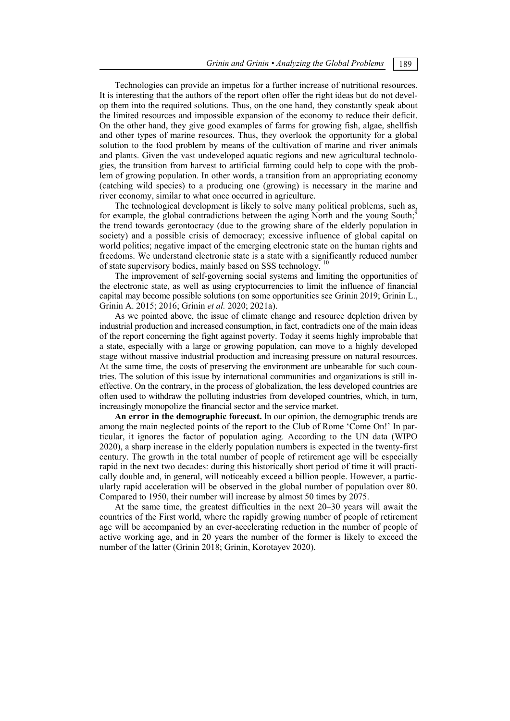Technologies can provide an impetus for a further increase of nutritional resources. It is interesting that the authors of the report often offer the right ideas but do not develop them into the required solutions. Thus, on the one hand, they constantly speak about the limited resources and impossible expansion of the economy to reduce their deficit. On the other hand, they give good examples of farms for growing fish, algae, shellfish and other types of marine resources. Thus, they overlook the opportunity for a global solution to the food problem by means of the cultivation of marine and river animals and plants. Given the vast undeveloped aquatic regions and new agricultural technologies, the transition from harvest to artificial farming could help to cope with the problem of growing population. In other words, a transition from an appropriating economy (catching wild species) to a producing one (growing) is necessary in the marine and river economy, similar to what once occurred in agriculture.

The technological development is likely to solve many political problems, such as, for example, the global contradictions between the aging North and the young South; the trend towards gerontocracy (due to the growing share of the elderly population in society) and a possible crisis of democracy; excessive influence of global capital on world politics; negative impact of the emerging electronic state on the human rights and freedoms. We understand electronic state is a state with a significantly reduced number of state supervisory bodies, mainly based on SSS technology.

The improvement of self-governing social systems and limiting the opportunities of the electronic state, as well as using cryptocurrencies to limit the influence of financial capital may become possible solutions (on some opportunities see Grinin 2019; Grinin L., Grinin A. 2015; 2016; Grinin *et al.* 2020; 2021a).

As we pointed above, the issue of climate change and resource depletion driven by industrial production and increased consumption, in fact, contradicts one of the main ideas of the report concerning the fight against poverty. Today it seems highly improbable that a state, especially with a large or growing population, can move to a highly developed stage without massive industrial production and increasing pressure on natural resources. At the same time, the costs of preserving the environment are unbearable for such countries. The solution of this issue by international communities and organizations is still ineffective. On the contrary, in the process of globalization, the less developed countries are often used to withdraw the polluting industries from developed countries, which, in turn, increasingly monopolize the financial sector and the service market.

**An error in the demographic forecast.** In our opinion, the demographic trends are among the main neglected points of the report to the Club of Rome 'Come On!' In particular, it ignores the factor of population aging. According to the UN data (WIPO 2020), a sharp increase in the elderly population numbers is expected in the twenty-first century. The growth in the total number of people of retirement age will be especially rapid in the next two decades: during this historically short period of time it will practically double and, in general, will noticeably exceed a billion people. However, a particularly rapid acceleration will be observed in the global number of population over 80. Compared to 1950, their number will increase by almost 50 times by 2075.

At the same time, the greatest difficulties in the next 20–30 years will await the countries of the First world, where the rapidly growing number of people of retirement age will be accompanied by an ever-accelerating reduction in the number of people of active working age, and in 20 years the number of the former is likely to exceed the number of the latter (Grinin 2018; Grinin, Korotayev 2020).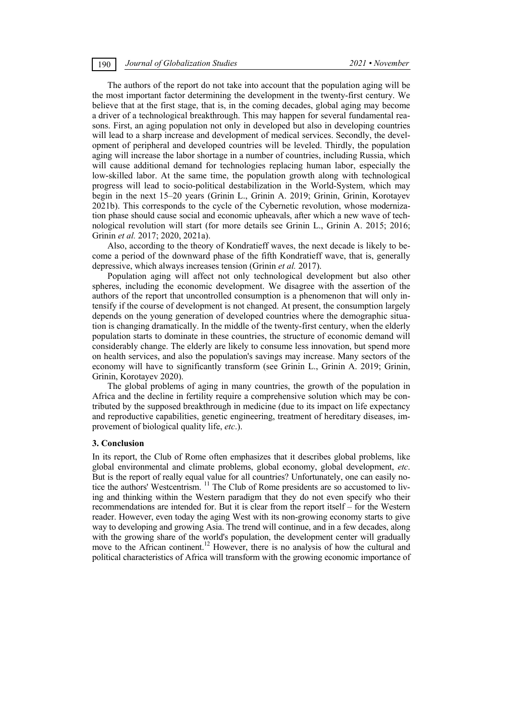The authors of the report do not take into account that the population aging will be the most important factor determining the development in the twenty-first century. We believe that at the first stage, that is, in the coming decades, global aging may become a driver of a technological breakthrough. This may happen for several fundamental reasons. First, an aging population not only in developed but also in developing countries will lead to a sharp increase and development of medical services. Secondly, the development of peripheral and developed countries will be leveled. Thirdly, the population aging will increase the labor shortage in a number of countries, including Russia, which will cause additional demand for technologies replacing human labor, especially the low-skilled labor. At the same time, the population growth along with technological progress will lead to socio-political destabilization in the World-System, which may begin in the next 15–20 years (Grinin L., Grinin A. 2019; Grinin, Grinin, Korotayev 2021b). This corresponds to the cycle of the Cybernetic revolution, whose modernization phase should cause social and economic upheavals, after which a new wave of technological revolution will start (for more details see Grinin L., Grinin A. 2015; 2016; Grinin *et al.* 2017; 2020, 2021a).

Also, according to the theory of Kondratieff waves, the next decade is likely to become a period of the downward phase of the fifth Kondratieff wave, that is, generally depressive, which always increases tension (Grinin *et al.* 2017).

Population aging will affect not only technological development but also other spheres, including the economic development. We disagree with the assertion of the authors of the report that uncontrolled consumption is a phenomenon that will only intensify if the course of development is not changed. At present, the consumption largely depends on the young generation of developed countries where the demographic situation is changing dramatically. In the middle of the twenty-first century, when the elderly population starts to dominate in these countries, the structure of economic demand will considerably change. The elderly are likely to consume less innovation, but spend more on health services, and also the population's savings may increase. Many sectors of the economy will have to significantly transform (see Grinin L., Grinin A. 2019; Grinin, Grinin, Korotayev 2020).

The global problems of aging in many countries, the growth of the population in Africa and the decline in fertility require a comprehensive solution which may be contributed by the supposed breakthrough in medicine (due to its impact on life expectancy and reproductive capabilities, genetic engineering, treatment of hereditary diseases, improvement of biological quality life, *etc*.).

#### **3. Conclusion**

In its report, the Club of Rome often emphasizes that it describes global problems, like global environmental and climate problems, global economy, global development, *etc*. But is the report of really equal value for all countries? Unfortunately, one can easily notice the authors' Westcentrism. <sup>11</sup> The Club of Rome presidents are so accustomed to living and thinking within the Western paradigm that they do not even specify who their recommendations are intended for. But it is clear from the report itself – for the Western reader. However, even today the aging West with its non-growing economy starts to give way to developing and growing Asia. The trend will continue, and in a few decades, along with the growing share of the world's population, the development center will gradually move to the African continent.<sup>12</sup> However, there is no analysis of how the cultural and political characteristics of Africa will transform with the growing economic importance of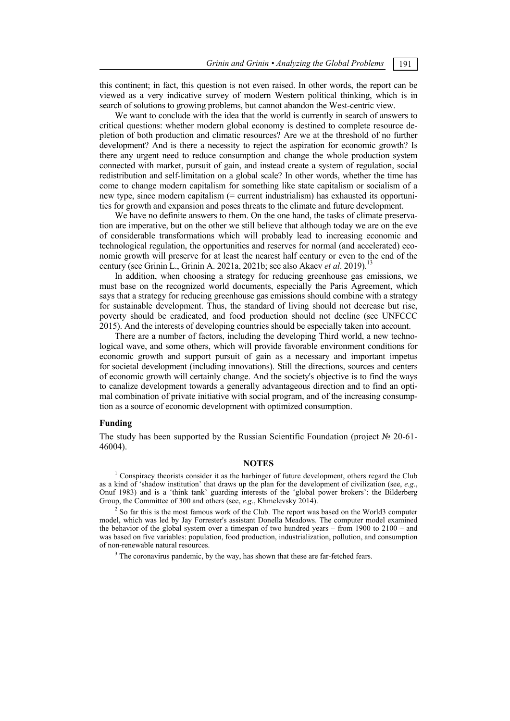this continent; in fact, this question is not even raised. In other words, the report can be viewed as a very indicative survey of modern Western political thinking, which is in search of solutions to growing problems, but cannot abandon the West-centric view.

We want to conclude with the idea that the world is currently in search of answers to critical questions: whether modern global economy is destined to complete resource depletion of both production and climatic resources? Are we at the threshold of no further development? And is there a necessity to reject the aspiration for economic growth? Is there any urgent need to reduce consumption and change the whole production system connected with market, pursuit of gain, and instead create a system of regulation, social redistribution and self-limitation on a global scale? In other words, whether the time has come to change modern capitalism for something like state capitalism or socialism of a new type, since modern capitalism (= current industrialism) has exhausted its opportunities for growth and expansion and poses threats to the climate and future development.

We have no definite answers to them. On the one hand, the tasks of climate preservation are imperative, but on the other we still believe that although today we are on the eve of considerable transformations which will probably lead to increasing economic and technological regulation, the opportunities and reserves for normal (and accelerated) economic growth will preserve for at least the nearest half century or even to the end of the century (see Grinin L., Grinin A. 2021a, 2021b; see also Akaev *et al.* 2019).<sup>13</sup>

In addition, when choosing a strategy for reducing greenhouse gas emissions, we must base on the recognized world documents, especially the Paris Agreement, which says that a strategy for reducing greenhouse gas emissions should combine with a strategy for sustainable development. Thus, the standard of living should not decrease but rise, poverty should be eradicated, and food production should not decline (see UNFCCC 2015). And the interests of developing countries should be especially taken into account.

There are a number of factors, including the developing Third world, a new technological wave, and some others, which will provide favorable environment conditions for economic growth and support pursuit of gain as a necessary and important impetus for societal development (including innovations). Still the directions, sources and centers of economic growth will certainly change. And the society's objective is to find the ways to canalize development towards a generally advantageous direction and to find an optimal combination of private initiative with social program, and of the increasing consumption as a source of economic development with optimized consumption.

### **Funding**

The study has been supported by the Russian Scientific Foundation (project № 20-61- 46004).

## **NOTES**

 $1$  Conspiracy theorists consider it as the harbinger of future development, others regard the Club as a kind of 'shadow institution' that draws up the plan for the development of civilization (see, *e.g*., Onuf 1983) and is a 'think tank' guarding interests of the 'global power brokers': the Bilderberg Group, the Committee of 300 and others (see, *e.g*., Khmelevsky 2014). 2

 $<sup>2</sup>$  So far this is the most famous work of the Club. The report was based on the World3 computer</sup> model, which was led by Jay Forrester's assistant Donella Meadows. The computer model examined the behavior of the global system over a timespan of two hundred years – from 1900 to 2100 – and was based on five variables: population, food production, industrialization, pollution, and consumption of non-renewable natural resources.

 $3$  The coronavirus pandemic, by the way, has shown that these are far-fetched fears.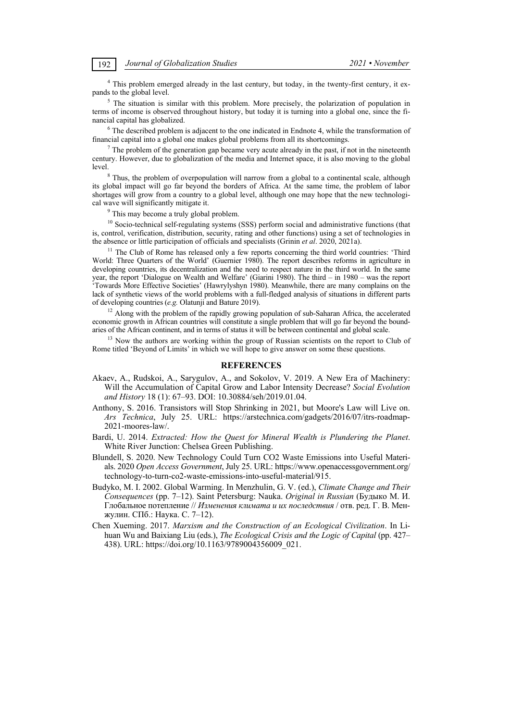<sup>4</sup> This problem emerged already in the last century, but today, in the twenty-first century, it expands to the global level.

<sup>5</sup> The situation is similar with this problem. More precisely, the polarization of population in terms of income is observed throughout history, but today it is turning into a global one, since the financial capital has globalized.

 $6$  The described problem is adjacent to the one indicated in Endnote 4, while the transformation of financial capital into a global one makes global problems from all its shortcomings.

 $<sup>7</sup>$  The problem of the generation gap became very acute already in the past, if not in the nineteenth</sup> century. However, due to globalization of the media and Internet space, it is also moving to the global level.

<sup>8</sup> Thus, the problem of overpopulation will narrow from a global to a continental scale, although its global impact will go far beyond the borders of Africa. At the same time, the problem of labor shortages will grow from a country to a global level, although one may hope that the new technological wave will significantly mitigate it.

<sup>9</sup> This may become a truly global problem.

<sup>10</sup> Socio-technical self-regulating systems (SSS) perform social and administrative functions (that is, control, verification, distribution, security, rating and other functions) using a set of technologies in the absence or little participation of officials and specialists (Grinin *et al.* 2020, 2021a).

<sup>11</sup> The Club of Rome has released only a few reports concerning the third world countries: 'Third World: Three Quarters of the World' (Guernier 1980). The report describes reforms in agriculture in developing countries, its decentralization and the need to respect nature in the third world. In the same year, the report 'Dialogue on Wealth and Welfare' (Giarini 1980). The third – in 1980 – was the report 'Towards More Effective Societies' (Hawrylyshyn 1980). Meanwhile, there are many complains on the lack of synthetic views of the world problems with a full-fledged analysis of situations in different parts

of developing countries (*e.g.* Olatunji and Bature 2019). 12 Along with the problem of the rapidly growing population of sub-Saharan Africa, the accelerated economic growth in African countries will constitute a single problem that will go far beyond the boundaries of the African continent, and in terms of status it will be between continental and global scale.

 $13$  Now the authors are working within the group of Russian scientists on the report to Club of Rome titled 'Beyond of Limits' in which we will hope to give answer on some these questions.

## **REFERENCES**

- Akaev, A., Rudskoi, A., Sarygulov, A., and Sokolov, V. 2019. A New Era of Machinery: Will the Accumulation of Capital Grow and Labor Intensity Decrease? *Social Evolution and History* 18 (1): 67–93. DOI: 10.30884/seh/2019.01.04.
- Anthony, S. 2016. Transistors will Stop Shrinking in 2021, but Moore's Law will Live on. *Ars Technica*, July 25. URL: https://arstechnica.com/gadgets/2016/07/itrs-roadmap-2021-moores-law/.
- Bardi, U. 2014. *Extracted: How the Quest for Mineral Wealth is Plundering the Planet*. White River Junction: Chelsea Green Publishing.
- Blundell, S. 2020. New Technology Could Turn CO2 Waste Emissions into Useful Materials. 2020 *Open Access Government*, July 25. URL: https://www.openaccessgovernment.org/ technology-to-turn-co2-waste-emissions-into-useful-material/915.
- Budyko, M. I. 2002. Global Warming. In Menzhulin, G. V. (ed.), *Climate Change and Their Consequences* (pp. 7–12). Saint Petersburg: Nauka. *Original in Russian* (Будыко М. И. Глобальное потепление // *Изменения климата и их последствия* / отв. ред. Г. В. Менжулин. СПб.: Наука. C. 7–12).
- Chen Xueming. 2017. *Marxism and the Construction of an Ecological Civilization*. In Lihuan Wu and Baixiang Liu (eds.), *The Ecological Crisis and the Logic of Capital* (pp. 427– 438). URL: https://doi.org/10.1163/9789004356009\_021.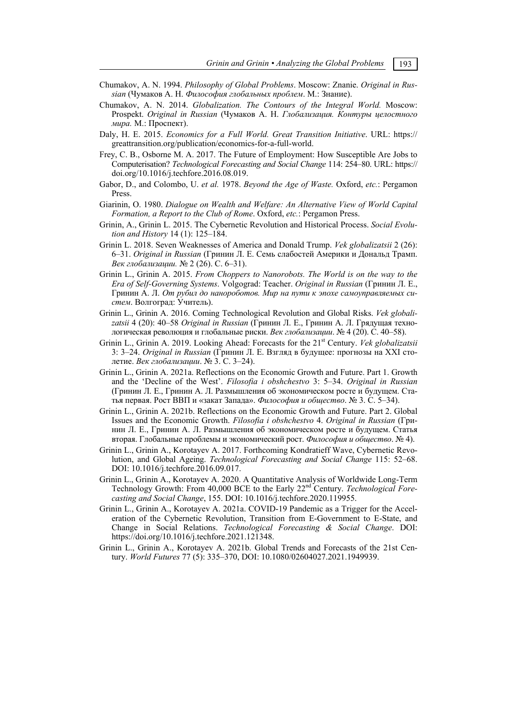- Chumakov, A. N. 1994. *Philosophy of Global Problems*. Moscow: Znanie. *Original in Russian* (Чумаков А. Н. *Философия глобальных проблем*. М.: Знание).
- Chumakov, A. N. 2014. *Globalization. The Contours of the Integral World.* Moscow: Prospekt. *Original in Russian* (Чумаков А. Н. *Глобализация. Контуры целостного мира.* М.: Проспект).
- Daly, H. E. 2015. *Economics for a Full World. Great Transition Initiative*. URL: https:// greattransition.org/publication/economics-for-a-full-world.
- Frey, C. B., Osborne M. A. 2017. The Future of Employment: How Susceptible Are Jobs to Computerisation? *Technological Forecasting and Social Change* 114: 254–80. URL: https:// doi.org/10.1016/j.techfore.2016.08.019.
- Gabor, D., and Colombo, U. *et al.* 1978. *Beyond the Age of Waste.* Oxford, *etc.*: Pergamon Press.
- Giarinin, O. 1980. *Dialogue on Wealth and Welfare: An Alternative View of World Capital Formation, a Report to the Club of Rome*. Oxford, *etc.*: Pergamon Press.
- Grinin, A., Grinin L. 2015. The Cybernetic Revolution and Historical Process. *Social Evolution and History* 14 (1): 125–184.
- Grinin L. 2018. Seven Weaknesses of America and Donald Trump. *Vek globalizatsii* 2 (26): 6–31. *Original in Russian* (Гринин Л. Е. Семь слабостей Америки и Дональд Трамп. *Век глобализации.* № 2 (26). С. 6–31).
- Grinin L., Grinin A. 2015. *From Choppers to Nanorobots. The World is on the way to the Era of Self-Governing Systems*. Volgograd: Teacher. *Original in Russian* (Гринин Л. Е., Гринин А. Л. *От рубил до нанороботов. Мир на пути к эпохе самоуправляемых систем*. Волгоград: Учитель).
- Grinin L., Grinin A. 2016. Coming Technological Revolution and Global Risks. *Vek globalizatsii* 4 (20): 40–58 *Original in Russian* (Гринин Л. Е., Гринин А. Л. Грядущая технологическая революция и глобальные риски. *Век глобализации*. № 4 (20). С. 40–58).
- Grinin L., Grinin A. 2019. Looking Ahead: Forecasts for the 21st Century. *Vek globalizatsii* 3: 3–24. *Original in Russian* (Гринин Л. Е. Взгляд в будущее: прогнозы на XXI столетие. *Век глобализации*. № 3. С. 3–24).
- Grinin L., Grinin A. 2021a. Reflections on the Economic Growth and Future. Part 1. Growth and the 'Decline of the West'. *Filosofia i obshchestvo* 3: 5–34. *Original in Russian* (Гринин Л. Е., Гринин А. Л. Размышления об экономическом росте и будущем. Статья первая. Рост ВВП и «закат Запада». *Философия и общество*. № 3. С. 5–34).
- Grinin L., Grinin A. 2021b. Reflections on the Economic Growth and Future. Part 2. Global Issues and the Economic Growth. *Filosofia i obshchestvo* 4. *Original in Russian* (Гринин Л. Е., Гринин А. Л. Размышления об экономическом росте и будущем. Статья вторая. Глобальные проблемы и экономический рост. *Философия и общество*. № 4).
- Grinin L., Grinin A., Korotayev A. 2017. Forthcoming Kondratieff Wave, Cybernetic Revolution, and Global Ageing. *Technological Forecasting and Social Change* 115: 52–68. DOI: 10.1016/j.techfore.2016.09.017.
- Grinin L., Grinin A., Korotayev A. 2020. A Quantitative Analysis of Worldwide Long-Term Technology Growth: From 40,000 BCE to the Early 22nd Century. *Technological Forecasting and Social Change*, 155. DOI: 10.1016/j.techfore.2020.119955.
- Grinin L., Grinin A., Korotayev A. 2021a. COVID-19 Pandemic as a Trigger for the Acceleration of the Cybernetic Revolution, Transition from E-Government to E-State, and Change in Social Relations. *Technological Forecasting & Social Change*. DOI: https://doi.org/10.1016/j.techfore.2021.121348.
- Grinin L., Grinin A., Korotayev A. 2021b. Global Trends and Forecasts of the 21st Century. *World Futures* 77 (5): 335–370, DOI: 10.1080/02604027.2021.1949939.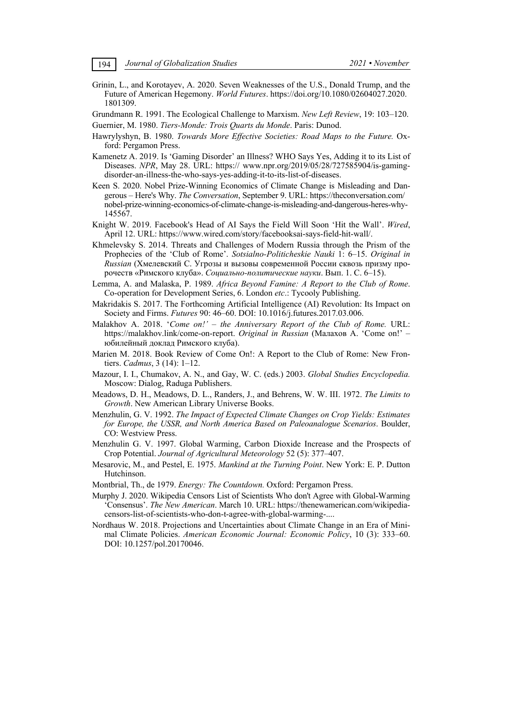Grinin, L., and Korotayev, A. 2020. Seven Weaknesses of the U.S., Donald Trump, and the Future of American Hegemony. *World Futures*. https://doi.org/10.1080/02604027.2020. 1801309.

Grundmann R. 1991. The Ecological Challenge to Marxism. *New Left Review*, 19: 103–120. Guernier, M. 1980. *Tiers-Monde: Trois Quarts du Monde*. Paris: Dunod.

- Hawrylyshyn, B. 1980. *Towards More Effective Societies: Road Maps to the Future.* Oxford: Pergamon Press.
- Kamenetz A. 2019. Is 'Gaming Disorder' an Illness? WHO Says Yes, Adding it to its List of Diseases. *NPR*, May 28. URL: https:// www.npr.org/2019/05/28/727585904/is-gamingdisorder-an-illness-the-who-says-yes-adding-it-to-its-list-of-diseases.
- Keen S. 2020. Nobel Prize-Winning Economics of Climate Change is Misleading and Dangerous – Here's Why. *The Conversation*, September 9. URL: https://theconversation.com/ nobel-prize-winning-economics-of-climate-change-is-misleading-and-dangerous-heres-why-145567.
- Knight W. 2019. Facebook's Head of AI Says the Field Will Soon 'Hit the Wall'. *Wired*, April 12. URL: https://www.wired.com/story/facebooksai-says-field-hit-wall/.
- Khmelevsky S. 2014. Threats and Challenges of Modern Russia through the Prism of the Prophecies of the 'Club of Rome'. *Sotsialno-Politicheskie Nauki* 1: 6–15. *Original in Russian* (Хмелевский С. Угрозы и вызовы современной России сквозь призму пророчеств «Римского клуба». *Социально-политические науки*. Вып. 1. С. 6–15).
- Lemma, A. and Malaska, P. 1989. *Africa Beyond Famine: A Report to the Club of Rome*. Co-operation for Development Series, 6. London *etc*.: Tycooly Publishing.
- Makridakis S. 2017. The Forthcoming Artificial Intelligence (AI) Revolution: Its Impact on Society and Firms. *Futures* 90: 46–60. DOI: 10.1016/j.futures.2017.03.006.
- Malakhov A. 2018. '*Come on!' the Anniversary Report of the Club of Rome*. URL: https://malakhov.link/come-on-report. *Original in Russian* (Малахов А. 'Come on!' – юбилейный доклад Римского клуба).
- Marien M. 2018. Book Review of Come On!: A Report to the Club of Rome: New Frontiers. *Cadmus*, 3 (14): 1–12.
- Mazour, I. I., Chumakov, A. N., and Gay, W. C. (eds.) 2003. *Global Studies Encyclopedia.* Moscow: Dialog, Raduga Publishers.
- Meadows, D. H., Meadows, D. L., Randers, J., and Behrens, W. W. III. 1972. *The Limits to Growth*. New American Library Universe Books.
- Menzhulin, G. V. 1992. *The Impact of Expected Climate Changes on Crop Yields: Estimates for Europe, the USSR, and North America Based on Paleoanalogue Scenarios*. Boulder, CO: Westview Press.
- Menzhulin G. V. 1997. Global Warming, Carbon Dioxide Increase and the Prospects of Crop Potential. *Journal of Agricultural Meteorology* 52 (5): 377–407.
- Mesarovic, M., and Pestel, E. 1975. *Mankind at the Turning Point*. New York: E. P. Dutton Hutchinson.
- Montbrial, Th., de 1979. *Energy: The Countdown.* Oxford: Pergamon Press.
- Murphy J. 2020. Wikipedia Censors List of Scientists Who don't Agree with Global-Warming 'Consensus'. *The New American*. March 10. URL: https://thenewamerican.com/wikipediacensors-list-of-scientists-who-don-t-agree-with-global-warming-....
- Nordhaus W. 2018. Projections and Uncertainties about Climate Change in an Era of Minimal Climate Policies. *American Economic Journal: Economic Policy*, 10 (3): 333–60. DOI: 10.1257/pol.20170046.